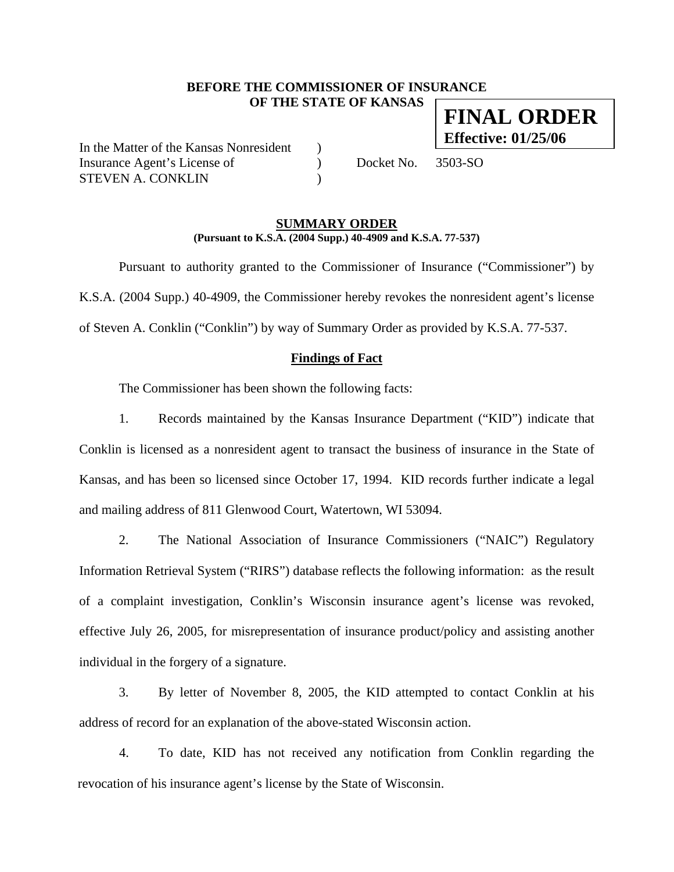## **BEFORE THE COMMISSIONER OF INSURANCE OF THE STATE OF KANSAS FINAL ORDER**

In the Matter of the Kansas Nonresident ) Insurance Agent's License of  $Docket No. 3503-SO$ STEVEN A. CONKLIN

**Effective: 01/25/06**

### **SUMMARY ORDER (Pursuant to K.S.A. (2004 Supp.) 40-4909 and K.S.A. 77-537)**

 Pursuant to authority granted to the Commissioner of Insurance ("Commissioner") by K.S.A. (2004 Supp.) 40-4909, the Commissioner hereby revokes the nonresident agent's license of Steven A. Conklin ("Conklin") by way of Summary Order as provided by K.S.A. 77-537.

# **Findings of Fact**

The Commissioner has been shown the following facts:

1. Records maintained by the Kansas Insurance Department ("KID") indicate that Conklin is licensed as a nonresident agent to transact the business of insurance in the State of Kansas, and has been so licensed since October 17, 1994. KID records further indicate a legal and mailing address of 811 Glenwood Court, Watertown, WI 53094.

2. The National Association of Insurance Commissioners ("NAIC") Regulatory Information Retrieval System ("RIRS") database reflects the following information: as the result of a complaint investigation, Conklin's Wisconsin insurance agent's license was revoked, effective July 26, 2005, for misrepresentation of insurance product/policy and assisting another individual in the forgery of a signature.

3. By letter of November 8, 2005, the KID attempted to contact Conklin at his address of record for an explanation of the above-stated Wisconsin action.

4. To date, KID has not received any notification from Conklin regarding the revocation of his insurance agent's license by the State of Wisconsin.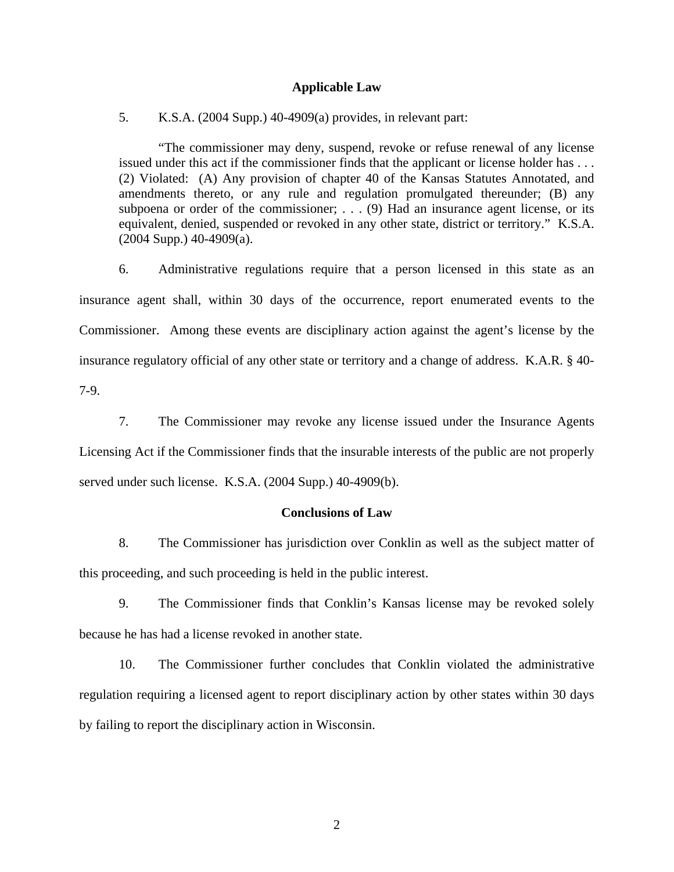### **Applicable Law**

5. K.S.A. (2004 Supp.) 40-4909(a) provides, in relevant part:

"The commissioner may deny, suspend, revoke or refuse renewal of any license issued under this act if the commissioner finds that the applicant or license holder has . . . (2) Violated: (A) Any provision of chapter 40 of the Kansas Statutes Annotated, and amendments thereto, or any rule and regulation promulgated thereunder; (B) any subpoena or order of the commissioner; . . . (9) Had an insurance agent license, or its equivalent, denied, suspended or revoked in any other state, district or territory." K.S.A.  $(2004$  Supp.)  $40-4909$ (a).

6. Administrative regulations require that a person licensed in this state as an insurance agent shall, within 30 days of the occurrence, report enumerated events to the Commissioner. Among these events are disciplinary action against the agent's license by the insurance regulatory official of any other state or territory and a change of address. K.A.R. § 40- 7-9.

7. The Commissioner may revoke any license issued under the Insurance Agents Licensing Act if the Commissioner finds that the insurable interests of the public are not properly served under such license. K.S.A. (2004 Supp.) 40-4909(b).

#### **Conclusions of Law**

8. The Commissioner has jurisdiction over Conklin as well as the subject matter of this proceeding, and such proceeding is held in the public interest.

9. The Commissioner finds that Conklin's Kansas license may be revoked solely because he has had a license revoked in another state.

10. The Commissioner further concludes that Conklin violated the administrative regulation requiring a licensed agent to report disciplinary action by other states within 30 days by failing to report the disciplinary action in Wisconsin.

2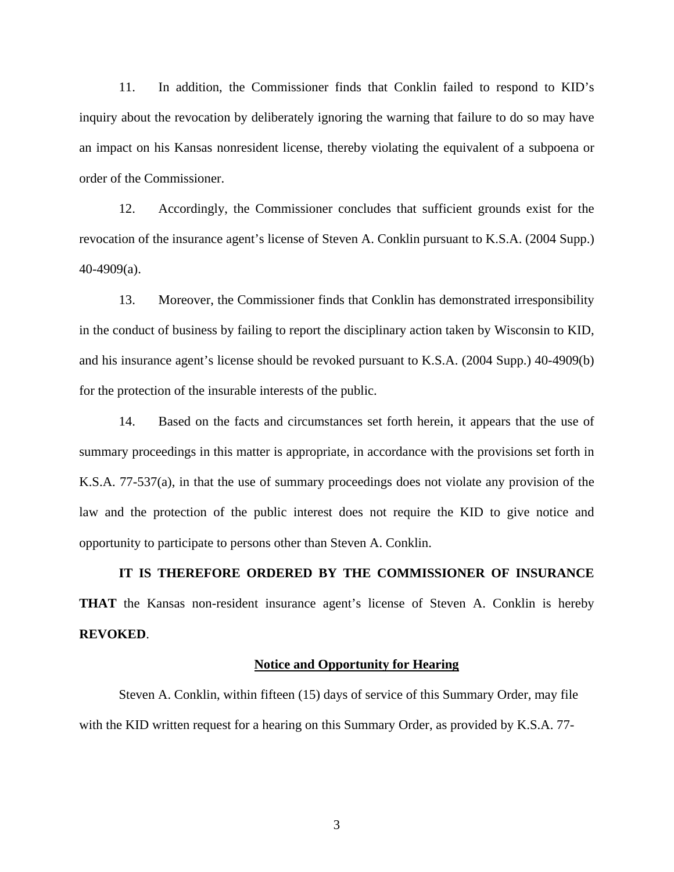11. In addition, the Commissioner finds that Conklin failed to respond to KID's inquiry about the revocation by deliberately ignoring the warning that failure to do so may have an impact on his Kansas nonresident license, thereby violating the equivalent of a subpoena or order of the Commissioner.

12. Accordingly, the Commissioner concludes that sufficient grounds exist for the revocation of the insurance agent's license of Steven A. Conklin pursuant to K.S.A. (2004 Supp.) 40-4909(a).

13. Moreover, the Commissioner finds that Conklin has demonstrated irresponsibility in the conduct of business by failing to report the disciplinary action taken by Wisconsin to KID, and his insurance agent's license should be revoked pursuant to K.S.A. (2004 Supp.) 40-4909(b) for the protection of the insurable interests of the public.

14. Based on the facts and circumstances set forth herein, it appears that the use of summary proceedings in this matter is appropriate, in accordance with the provisions set forth in K.S.A. 77-537(a), in that the use of summary proceedings does not violate any provision of the law and the protection of the public interest does not require the KID to give notice and opportunity to participate to persons other than Steven A. Conklin.

**IT IS THEREFORE ORDERED BY THE COMMISSIONER OF INSURANCE THAT** the Kansas non-resident insurance agent's license of Steven A. Conklin is hereby **REVOKED**.

#### **Notice and Opportunity for Hearing**

Steven A. Conklin, within fifteen (15) days of service of this Summary Order, may file with the KID written request for a hearing on this Summary Order, as provided by K.S.A. 77-

3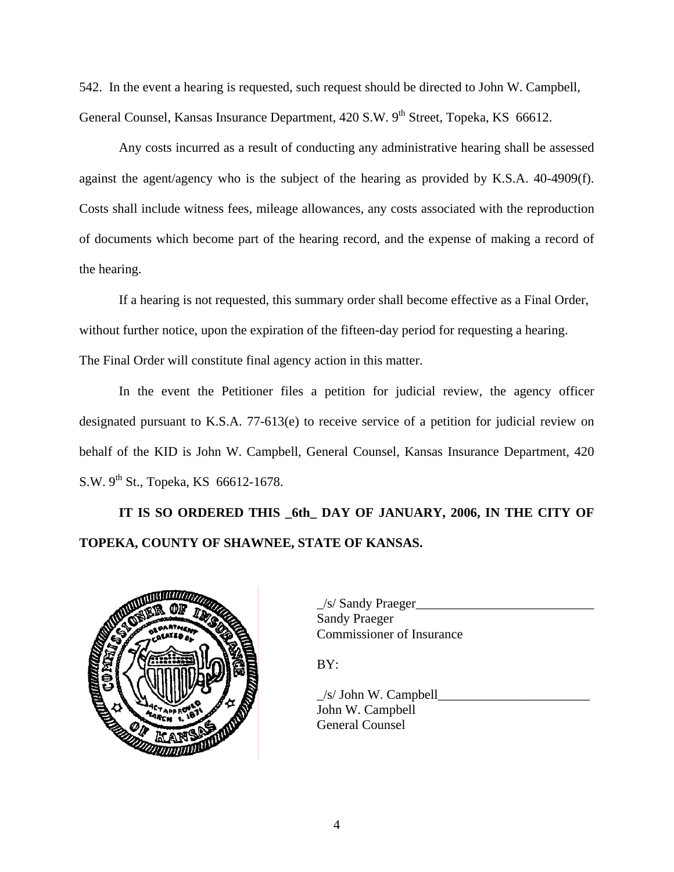542. In the event a hearing is requested, such request should be directed to John W. Campbell, General Counsel, Kansas Insurance Department, 420 S.W. 9<sup>th</sup> Street, Topeka, KS 66612.

 Any costs incurred as a result of conducting any administrative hearing shall be assessed against the agent/agency who is the subject of the hearing as provided by K.S.A. 40-4909(f). Costs shall include witness fees, mileage allowances, any costs associated with the reproduction of documents which become part of the hearing record, and the expense of making a record of the hearing.

If a hearing is not requested, this summary order shall become effective as a Final Order, without further notice, upon the expiration of the fifteen-day period for requesting a hearing. The Final Order will constitute final agency action in this matter.

In the event the Petitioner files a petition for judicial review, the agency officer designated pursuant to K.S.A. 77-613(e) to receive service of a petition for judicial review on behalf of the KID is John W. Campbell, General Counsel, Kansas Insurance Department, 420 S.W.  $9^{th}$  St., Topeka, KS 66612-1678.

**IT IS SO ORDERED THIS \_6th\_ DAY OF JANUARY, 2006, IN THE CITY OF TOPEKA, COUNTY OF SHAWNEE, STATE OF KANSAS.** 



|                                         | /s/ Sandy Praeger         |
|-----------------------------------------|---------------------------|
|                                         | Sandy Praeger             |
| <b>MUNICIPALITY OF TAXABLE PROPERTY</b> | Commissioner of Insurance |

BY:

 $\angle$ s/ John W. Campbell John W. Campbell General Counsel